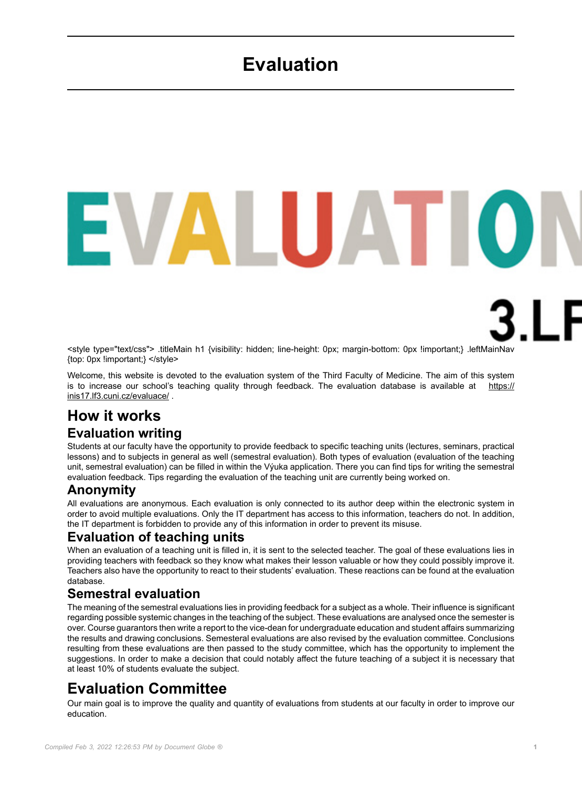# **Evaluation**

<style type="text/css"> .titleMain h1 {visibility: hidden; line-height: 0px; margin-bottom: 0px !important;} .leftMainNav {top: 0px !important;} </style>

<span id="page-0-0"></span>**ALUATIO** 

Welcome, this website is devoted to the evaluation system of the Third Faculty of Medicine. The aim of this system is to increase our school's teaching quality through feedback. The evaluation database is available at [https://](https://inis17.lf3.cuni.cz/evaluace/) [inis17.lf3.cuni.cz/evaluace/](https://inis17.lf3.cuni.cz/evaluace/) .

### **How it works Evaluation writing**

Students at our faculty have the opportunity to provide feedback to specific teaching units (lectures, seminars, practical lessons) and to subjects in general as well (semestral evaluation). Both types of evaluation (evaluation of the teaching unit, semestral evaluation) can be filled in within the Výuka application. There you can find tips for writing the semestral evaluation feedback. Tips regarding the evaluation of the teaching unit are currently being worked on.

### **Anonymity**

All evaluations are anonymous. Each evaluation is only connected to its author deep within the electronic system in order to avoid multiple evaluations. Only the IT department has access to this information, teachers do not. In addition, the IT department is forbidden to provide any of this information in order to prevent its misuse.

#### **Evaluation of teaching units**

When an evaluation of a teaching unit is filled in, it is sent to the selected teacher. The goal of these evaluations lies in providing teachers with feedback so they know what makes their lesson valuable or how they could possibly improve it. Teachers also have the opportunity to react to their students' evaluation. These reactions can be found at the evaluation database.

#### **Semestral evaluation**

The meaning of the semestral evaluations lies in providing feedback for a subject as a whole. Their influence is significant regarding possible systemic changes in the teaching of the subject. These evaluations are analysed once the semester is over. Course guarantors then write a report to the vice-dean for undergraduate education and student affairs summarizing the results and drawing conclusions. Semesteral evaluations are also revised by the evaluation committee. Conclusions resulting from these evaluations are then passed to the study committee, which has the opportunity to implement the suggestions. In order to make a decision that could notably affect the future teaching of a subject it is necessary that at least 10% of students evaluate the subject.

## **Evaluation Committee**

Our main goal is to improve the quality and quantity of evaluations from students at our faculty in order to improve our education.